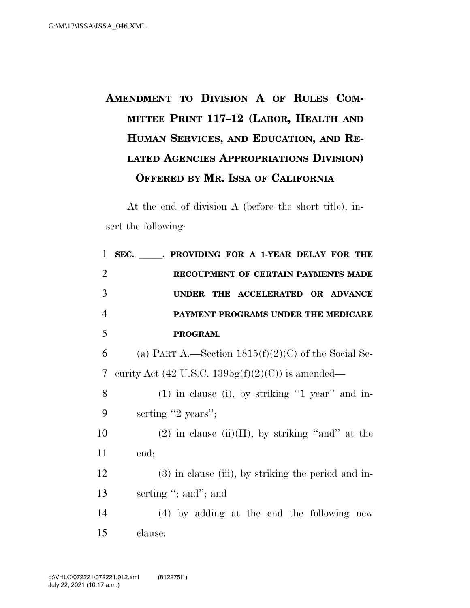## **AMENDMENT TO DIVISION A OF RULES COM-MITTEE PRINT 117–12 (LABOR, HEALTH AND HUMAN SERVICES, AND EDUCATION, AND RE-LATED AGENCIES APPROPRIATIONS DIVISION) OFFERED BY MR. ISSA OF CALIFORNIA**

At the end of division A (before the short title), insert the following:

| $\mathbf{1}$   | SEC.<br>. PROVIDING FOR A 1-YEAR DELAY FOR THE        |
|----------------|-------------------------------------------------------|
| $\overline{2}$ | RECOUPMENT OF CERTAIN PAYMENTS MADE                   |
| 3              | UNDER THE ACCELERATED OR ADVANCE                      |
| $\overline{4}$ | PAYMENT PROGRAMS UNDER THE MEDICARE                   |
| 5              | PROGRAM.                                              |
| 6              | (a) PART A.—Section $1815(f)(2)(C)$ of the Social Se- |
| $\overline{7}$ | curity Act (42 U.S.C. 1395 $g(f)(2)(C)$ ) is amended— |
| 8              | $(1)$ in clause (i), by striking "1 year" and in-     |
| 9              | serting "2 years";                                    |
| 10             | $(2)$ in clause (ii)(II), by striking "and" at the    |
| 11             | end;                                                  |
| 12             | (3) in clause (iii), by striking the period and in-   |
| 13             | serting "; and"; and                                  |
| 14             | $(4)$ by adding at the end the following new          |
| 15             | clause:                                               |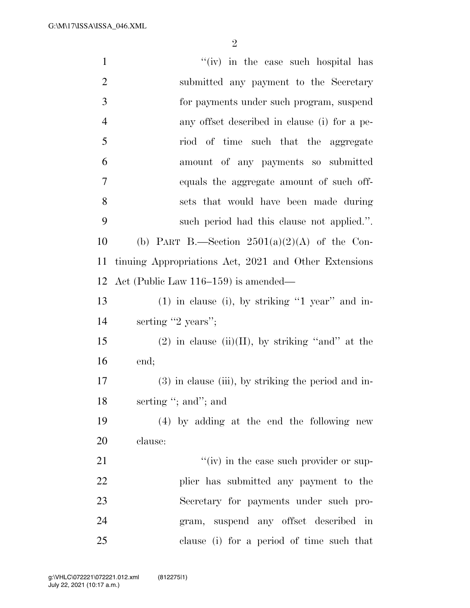G:\M\17\ISSA\ISSA\_046.XML

| $\mathbf{1}$   | "(iv) in the case such hospital has                   |
|----------------|-------------------------------------------------------|
| $\overline{2}$ | submitted any payment to the Secretary                |
| 3              | for payments under such program, suspend              |
| $\overline{4}$ | any offset described in clause (i) for a pe-          |
| 5              | riod of time such that the aggregate                  |
| 6              | amount of any payments so submitted                   |
| $\tau$         | equals the aggregate amount of such off-              |
| 8              | sets that would have been made during                 |
| 9              | such period had this clause not applied.".            |
| 10             | (b) PART B.—Section $2501(a)(2)(A)$ of the Con-       |
| 11             | tinuing Appropriations Act, 2021 and Other Extensions |
| 12             | Act (Public Law $116-159$ ) is amended—               |
| 13             | $(1)$ in clause (i), by striking "1 year" and in-     |
| 14             | serting "2 years";                                    |
| 15             | $(2)$ in clause $(ii)(II)$ , by striking "and" at the |
| 16             | end;                                                  |
| 17             | $(3)$ in clause (iii), by striking the period and in- |
| 18             | serting "; and"; and                                  |
| 19             | (4) by adding at the end the following new            |
| 20             | clause:                                               |
| 21             | $f'(iv)$ in the case such provider or sup-            |
| 22             | plier has submitted any payment to the                |
| 23             | Secretary for payments under such pro-                |
| 24             | gram, suspend any offset described in                 |
| 25             | clause (i) for a period of time such that             |